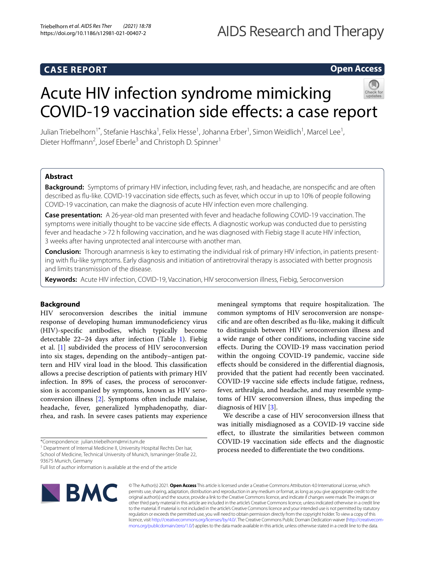# **CASE REPORT**

# **Open Access**

# Acute HIV infection syndrome mimicking COVID-19 vaccination side efects: a case report



Julian Triebelhorn<sup>1\*</sup>, Stefanie Haschka<sup>1</sup>, Felix Hesse<sup>1</sup>, Johanna Erber<sup>1</sup>, Simon Weidlich<sup>1</sup>, Marcel Lee<sup>1</sup>, Dieter Hoffmann<sup>2</sup>, Josef Eberle<sup>3</sup> and Christoph D. Spinner<sup>1</sup>

# **Abstract**

**Background:** Symptoms of primary HIV infection, including fever, rash, and headache, are nonspecifc and are often described as fu-like. COVID-19 vaccination side efects, such as fever, which occur in up to 10% of people following COVID-19 vaccination, can make the diagnosis of acute HIV infection even more challenging.

**Case presentation:** A 26-year-old man presented with fever and headache following COVID-19 vaccination. The symptoms were initially thought to be vaccine side efects. A diagnostic workup was conducted due to persisting fever and headache >72 h following vaccination, and he was diagnosed with Fiebig stage II acute HIV infection, 3 weeks after having unprotected anal intercourse with another man.

**Conclusion:** Thorough anamnesis is key to estimating the individual risk of primary HIV infection, in patients presenting with fu-like symptoms. Early diagnosis and initiation of antiretroviral therapy is associated with better prognosis and limits transmission of the disease.

**Keywords:** Acute HIV infection, COVID-19, Vaccination, HIV seroconversion illness, Fiebig, Seroconversion

# **Background**

HIV seroconversion describes the initial immune response of developing human immunodefciency virus (HIV)-specifc antibodies, which typically become detectable 22–24 days after infection (Table [1](#page-1-0)). Fiebig et al. [\[1](#page-3-0)] subdivided the process of HIV seroconversion into six stages, depending on the antibody–antigen pattern and HIV viral load in the blood. This classification allows a precise description of patients with primary HIV infection. In 89% of cases, the process of seroconversion is accompanied by symptoms, known as HIV seroconversion illness [\[2](#page-3-1)]. Symptoms often include malaise, headache, fever, generalized lymphadenopathy, diarrhea, and rash. In severe cases patients may experience

<sup>1</sup> Department of Internal Medicine II, University Hospital Rechts Der Isar, School of Medicine, Technical University of Munich, Ismaninger-Straße 22, 93675 Munich, Germany

Full list of author information is available at the end of the article



© The Author(s) 2021. **Open Access** This article is licensed under a Creative Commons Attribution 4.0 International License, which permits use, sharing, adaptation, distribution and reproduction in any medium or format, as long as you give appropriate credit to the original author(s) and the source, provide a link to the Creative Commons licence, and indicate if changes were made. The images or other third party material in this article are included in the article's Creative Commons licence, unless indicated otherwise in a credit line to the material. If material is not included in the article's Creative Commons licence and your intended use is not permitted by statutory regulation or exceeds the permitted use, you will need to obtain permission directly from the copyright holder. To view a copy of this licence, visit [http://creativecommons.org/licenses/by/4.0/.](http://creativecommons.org/licenses/by/4.0/) The Creative Commons Public Domain Dedication waiver ([http://creativecom](http://creativecommons.org/publicdomain/zero/1.0/)[mons.org/publicdomain/zero/1.0/\)](http://creativecommons.org/publicdomain/zero/1.0/) applies to the data made available in this article, unless otherwise stated in a credit line to the data.

meningeal symptoms that require hospitalization. The common symptoms of HIV seroconversion are nonspecifc and are often described as fu-like, making it difcult to distinguish between HIV seroconversion illness and a wide range of other conditions, including vaccine side efects. During the COVID-19 mass vaccination period within the ongoing COVID-19 pandemic, vaccine side efects should be considered in the diferential diagnosis, provided that the patient had recently been vaccinated. COVID-19 vaccine side efects include fatigue, redness, fever, arthralgia, and headache, and may resemble symptoms of HIV seroconversion illness, thus impeding the diagnosis of HIV [[3\]](#page-3-2).

We describe a case of HIV seroconversion illness that was initially misdiagnosed as a COVID-19 vaccine side efect, to illustrate the similarities between common COVID-19 vaccination side efects and the diagnostic process needed to diferentiate the two conditions.

<sup>\*</sup>Correspondence: julian.triebelhorn@mri.tum.de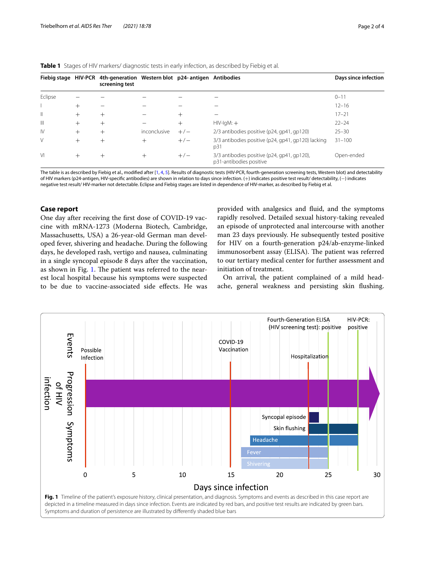<span id="page-1-0"></span>

|  | <b>Table 1</b> Stages of HIV markers/ diagnostic tests in early infection, as described by Fiebig et al. |  |  |  |  |  |  |  |  |  |  |  |
|--|----------------------------------------------------------------------------------------------------------|--|--|--|--|--|--|--|--|--|--|--|
|--|----------------------------------------------------------------------------------------------------------|--|--|--|--|--|--|--|--|--|--|--|

| Fiebig stage HIV-PCR |        | 4th-generation Western blot p24-antigen Antibodies<br>screening test |              |        |                                                                        | Days since infection |  |  |
|----------------------|--------|----------------------------------------------------------------------|--------------|--------|------------------------------------------------------------------------|----------------------|--|--|
| Eclipse              |        |                                                                      |              |        |                                                                        | $0 - 11$             |  |  |
|                      | $^+$   |                                                                      |              |        |                                                                        | $12 - 16$            |  |  |
| $\parallel$          | $^{+}$ | $\,$                                                                 |              | $^{+}$ |                                                                        | $17 - 21$            |  |  |
| Ш                    | $^+$   |                                                                      |              | $^+$   | $HIV-IqM: +$                                                           | $22 - 24$            |  |  |
| $\mathsf{N}$         | $^+$   |                                                                      | inconclusive | $+/-$  | 2/3 antibodies positive (p24, gp41, gp120)                             | $25 - 30$            |  |  |
| V                    | $^+$   | $\pm$                                                                | $^{+}$       | $+/-$  | 3/3 antibodies positive (p24, qp41, qp120) lacking<br>p31              | $31 - 100$           |  |  |
| $\vee$               | $^{+}$ | $\pm$                                                                | $^{+}$       | $+/-$  | 3/3 antibodies positive (p24, qp41, qp120),<br>p31-antibodies positive | Open-ended           |  |  |

The table is as described by Fiebig et al., modified after [[1](#page-3-0), [4,](#page-3-3) [5](#page-3-4)]. Results of diagnostic tests (HIV-PCR, fourth-generation screening tests, Western blot) and detectability of HIV markers (p24-antigen, HIV-specifc antibodies) are shown in relation to days since infection. (+) indicates positive test result/ detectability, (−) indicates negative test result/ HIV-marker not detectable. Eclipse and Fiebig stages are listed in dependence of HIV-marker, as described by Fiebig et al.

## **Case report**

One day after receiving the frst dose of COVID-19 vaccine with mRNA-1273 (Moderna Biotech, Cambridge, Massachusetts, USA) a 26-year-old German man developed fever, shivering and headache. During the following days, he developed rash, vertigo and nausea, culminating in a single syncopal episode 8 days after the vaccination, as shown in Fig. [1.](#page-1-1) The patient was referred to the nearest local hospital because his symptoms were suspected to be due to vaccine-associated side efects. He was provided with analgesics and fuid, and the symptoms rapidly resolved. Detailed sexual history-taking revealed an episode of unprotected anal intercourse with another man 23 days previously. He subsequently tested positive for HIV on a fourth-generation p24/ab-enzyme-linked immunosorbent assay (ELISA). The patient was referred to our tertiary medical center for further assessment and initiation of treatment.

On arrival, the patient complained of a mild headache, general weakness and persisting skin fushing.

<span id="page-1-1"></span>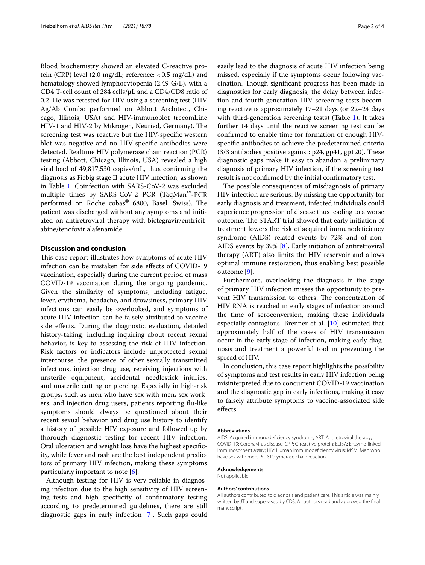Blood biochemistry showed an elevated C-reactive protein (CRP) level (2.0 mg/dL; reference:  $< 0.5$  mg/dL) and hematology showed lymphocytopenia (2.49 G/L), with a CD4 T-cell count of 284 cells/μL and a CD4/CD8 ratio of 0.2. He was retested for HIV using a screening test (HIV Ag/Ab Combo performed on Abbott Architect, Chicago, Illinois, USA) and HIV-immunoblot (recomLine HIV-1 and HIV-2 by Mikrogen, Neuried, Germany). The screening test was reactive but the HIV-specifc western blot was negative and no HIV-specifc antibodies were detected. Realtime HIV polymerase chain reaction (PCR) testing (Abbott, Chicago, Illinois, USA) revealed a high viral load of 49,817,530 copies/mL, thus confrming the diagnosis as Fiebig stage II acute HIV infection, as shown in Table [1.](#page-1-0) Coinfection with SARS-CoV-2 was excluded multiple times by SARS-CoV-2 PCR (TaqMan™-PCR performed on Roche cobas<sup>®</sup> 6800, Basel, Swiss). The patient was discharged without any symptoms and initiated on antiretroviral therapy with bictegravir/emtricitabine/tenofovir alafenamide.

## **Discussion and conclusion**

This case report illustrates how symptoms of acute HIV infection can be mistaken for side efects of COVID-19 vaccination, especially during the current period of mass COVID-19 vaccination during the ongoing pandemic. Given the similarity of symptoms, including fatigue, fever, erythema, headache, and drowsiness, primary HIV infections can easily be overlooked, and symptoms of acute HIV infection can be falsely attributed to vaccine side efects. During the diagnostic evaluation, detailed history-taking, including inquiring about recent sexual behavior, is key to assessing the risk of HIV infection. Risk factors or indicators include unprotected sexual intercourse, the presence of other sexually transmitted infections, injection drug use, receiving injections with unsterile equipment, accidental needlestick injuries, and unsterile cutting or piercing. Especially in high-risk groups, such as men who have sex with men, sex workers, and injection drug users, patients reporting fu-like symptoms should always be questioned about their recent sexual behavior and drug use history to identify a history of possible HIV exposure and followed up by thorough diagnostic testing for recent HIV infection. Oral ulceration and weight loss have the highest specifcity, while fever and rash are the best independent predictors of primary HIV infection, making these symptoms particularly important to note  $[6]$  $[6]$ .

Although testing for HIV is very reliable in diagnosing infection due to the high sensitivity of HIV screening tests and high specifcity of confrmatory testing according to predetermined guidelines, there are still diagnostic gaps in early infection [\[7](#page-3-6)]. Such gaps could easily lead to the diagnosis of acute HIV infection being missed, especially if the symptoms occur following vaccination. Though significant progress has been made in diagnostics for early diagnosis, the delay between infection and fourth-generation HIV screening tests becoming reactive is approximately 17–21 days (or 22–24 days with third-generation screening tests) (Table [1](#page-1-0)). It takes further 14 days until the reactive screening test can be confrmed to enable time for formation of enough HIVspecifc antibodies to achieve the predetermined criteria  $(3/3$  antibodies positive against: p24, gp41, gp120). These diagnostic gaps make it easy to abandon a preliminary diagnosis of primary HIV infection, if the screening test result is not confrmed by the initial confrmatory test.

The possible consequences of misdiagnosis of primary HIV infection are serious. By missing the opportunity for early diagnosis and treatment, infected individuals could experience progression of disease thus leading to a worse outcome. The START trial showed that early initiation of treatment lowers the risk of acquired immunodefciency syndrome (AIDS) related events by 72% and of non-AIDS events by 39% [\[8](#page-3-7)]. Early initiation of antiretroviral therapy (ART) also limits the HIV reservoir and allows optimal immune restoration, thus enabling best possible outcome [\[9\]](#page-3-8).

Furthermore, overlooking the diagnosis in the stage of primary HIV infection misses the opportunity to prevent HIV transmission to others. The concentration of HIV RNA is reached in early stages of infection around the time of seroconversion, making these individuals especially contagious. Brenner et al. [\[10](#page-3-9)] estimated that approximately half of the cases of HIV transmission occur in the early stage of infection, making early diagnosis and treatment a powerful tool in preventing the spread of HIV.

In conclusion, this case report highlights the possibility of symptoms and test results in early HIV infection being misinterpreted due to concurrent COVID-19 vaccination and the diagnostic gap in early infections, making it easy to falsely attribute symptoms to vaccine-associated side efects.

#### **Abbreviations**

AIDS: Acquired immunodefciency syndrome; ART: Antiretroviral therapy; COVID-19: Coronavirus disease; CRP: C-reactive protein; ELISA: Enzyme-linked immunosorbent assay; HIV: Human immunodefciency virus; MSM: Men who have sex with men; PCR: Polymerase chain reaction.

#### **Acknowledgements**

Not applicable.

#### **Authors' contributions**

All authors contributed to diagnosis and patient care. This article was mainly written by JT and supervised by CDS. All authors read and approved the fnal manuscript.